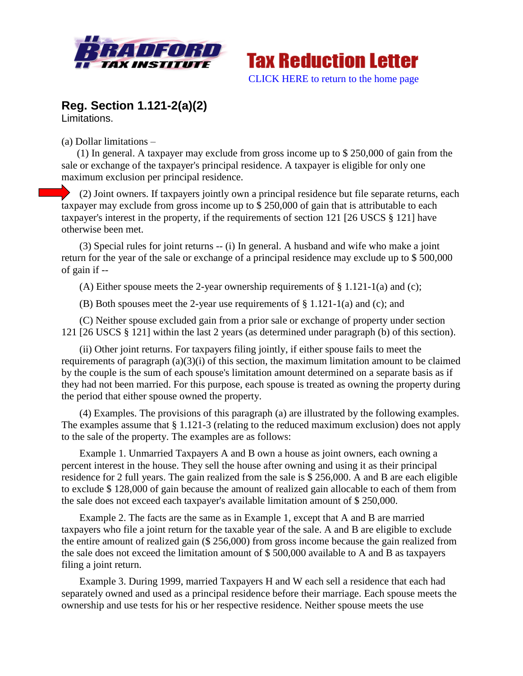



## **Reg. Section 1.121-2(a)(2)** Limitations.

(a) Dollar limitations –

(1) In general. A taxpayer may exclude from gross income up to \$ 250,000 of gain from the sale or exchange of the taxpayer's principal residence. A taxpayer is eligible for only one maximum exclusion per principal residence.

(2) Joint owners. If taxpayers jointly own a principal residence but file separate returns, each taxpayer may exclude from gross income up to \$ 250,000 of gain that is attributable to each taxpayer's interest in the property, if the requirements of section 121 [26 USCS § 121] have otherwise been met.

(3) Special rules for joint returns -- (i) In general. A husband and wife who make a joint return for the year of the sale or exchange of a principal residence may exclude up to \$ 500,000 of gain if --

(A) Either spouse meets the 2-year ownership requirements of  $\S 1.121-1(a)$  and (c);

(B) Both spouses meet the 2-year use requirements of  $\S 1.121-1(a)$  and (c); and

(C) Neither spouse excluded gain from a prior sale or exchange of property under section 121 [26 USCS § 121] within the last 2 years (as determined under paragraph (b) of this section).

(ii) Other joint returns. For taxpayers filing jointly, if either spouse fails to meet the requirements of paragraph (a)(3)(i) of this section, the maximum limitation amount to be claimed by the couple is the sum of each spouse's limitation amount determined on a separate basis as if they had not been married. For this purpose, each spouse is treated as owning the property during the period that either spouse owned the property.

(4) Examples. The provisions of this paragraph (a) are illustrated by the following examples. The examples assume that § 1.121-3 (relating to the reduced maximum exclusion) does not apply to the sale of the property. The examples are as follows:

Example 1. Unmarried Taxpayers A and B own a house as joint owners, each owning a percent interest in the house. They sell the house after owning and using it as their principal residence for 2 full years. The gain realized from the sale is \$ 256,000. A and B are each eligible to exclude \$ 128,000 of gain because the amount of realized gain allocable to each of them from the sale does not exceed each taxpayer's available limitation amount of \$ 250,000.

Example 2. The facts are the same as in Example 1, except that A and B are married taxpayers who file a joint return for the taxable year of the sale. A and B are eligible to exclude the entire amount of realized gain (\$ 256,000) from gross income because the gain realized from the sale does not exceed the limitation amount of \$ 500,000 available to A and B as taxpayers filing a joint return.

Example 3. During 1999, married Taxpayers H and W each sell a residence that each had separately owned and used as a principal residence before their marriage. Each spouse meets the ownership and use tests for his or her respective residence. Neither spouse meets the use